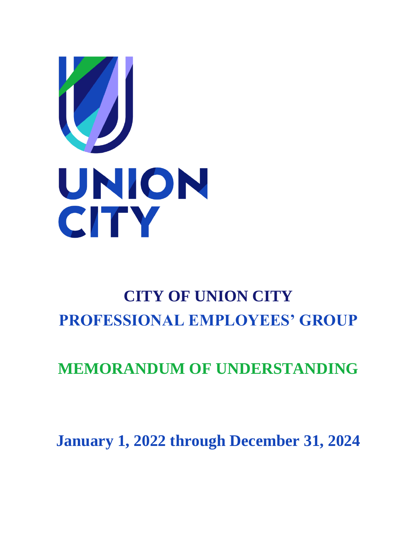

# **CITY OF UNION CITY PROFESSIONAL EMPLOYEES' GROUP**

# **MEMORANDUM OF UNDERSTANDING**

**January 1, 2022 through December 31, 2024**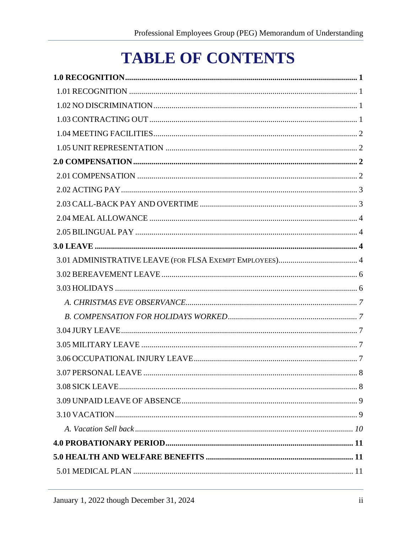# **TABLE OF CONTENTS**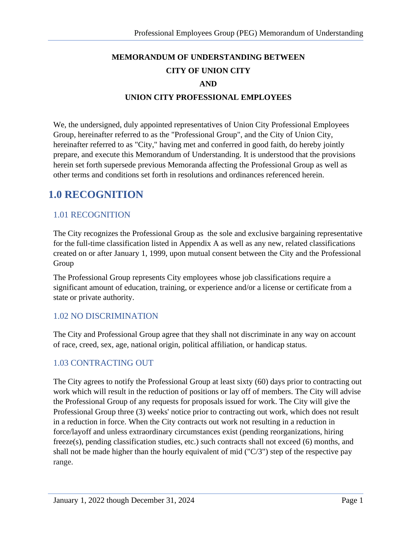# **MEMORANDUM OF UNDERSTANDING BETWEEN CITY OF UNION CITY AND UNION CITY PROFESSIONAL EMPLOYEES**

We, the undersigned, duly appointed representatives of Union City Professional Employees Group, hereinafter referred to as the "Professional Group", and the City of Union City, hereinafter referred to as "City," having met and conferred in good faith, do hereby jointly prepare, and execute this Memorandum of Understanding. It is understood that the provisions herein set forth supersede previous Memoranda affecting the Professional Group as well as other terms and conditions set forth in resolutions and ordinances referenced herein.

# <span id="page-3-0"></span>**1.0 RECOGNITION**

# <span id="page-3-1"></span>1.01 RECOGNITION

The City recognizes the Professional Group as the sole and exclusive bargaining representative for the full-time classification listed in Appendix A as well as any new, related classifications created on or after January 1, 1999, upon mutual consent between the City and the Professional Group

The Professional Group represents City employees whose job classifications require a significant amount of education, training, or experience and/or a license or certificate from a state or private authority.

### <span id="page-3-2"></span>1.02 NO DISCRIMINATION

The City and Professional Group agree that they shall not discriminate in any way on account of race, creed, sex, age, national origin, political affiliation, or handicap status.

### <span id="page-3-3"></span>1.03 CONTRACTING OUT

The City agrees to notify the Professional Group at least sixty (60) days prior to contracting out work which will result in the reduction of positions or lay off of members. The City will advise the Professional Group of any requests for proposals issued for work. The City will give the Professional Group three (3) weeks' notice prior to contracting out work, which does not result in a reduction in force. When the City contracts out work not resulting in a reduction in force/layoff and unless extraordinary circumstances exist (pending reorganizations, hiring freeze(s), pending classification studies, etc.) such contracts shall not exceed (6) months, and shall not be made higher than the hourly equivalent of mid ("C/3") step of the respective pay range.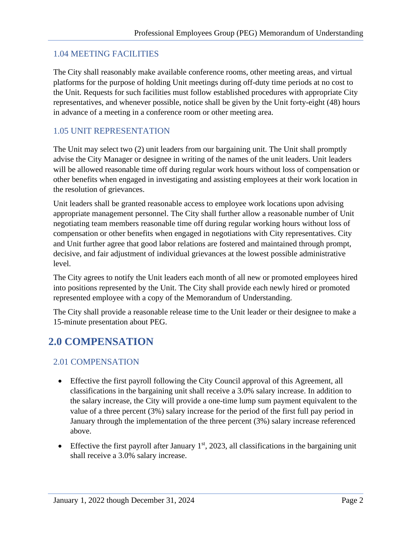### <span id="page-4-0"></span>1.04 MEETING FACILITIES

The City shall reasonably make available conference rooms, other meeting areas, and virtual platforms for the purpose of holding Unit meetings during off-duty time periods at no cost to the Unit. Requests for such facilities must follow established procedures with appropriate City representatives, and whenever possible, notice shall be given by the Unit forty-eight (48) hours in advance of a meeting in a conference room or other meeting area.

#### <span id="page-4-1"></span>1.05 UNIT REPRESENTATION

The Unit may select two (2) unit leaders from our bargaining unit. The Unit shall promptly advise the City Manager or designee in writing of the names of the unit leaders. Unit leaders will be allowed reasonable time off during regular work hours without loss of compensation or other benefits when engaged in investigating and assisting employees at their work location in the resolution of grievances.

Unit leaders shall be granted reasonable access to employee work locations upon advising appropriate management personnel. The City shall further allow a reasonable number of Unit negotiating team members reasonable time off during regular working hours without loss of compensation or other benefits when engaged in negotiations with City representatives. City and Unit further agree that good labor relations are fostered and maintained through prompt, decisive, and fair adjustment of individual grievances at the lowest possible administrative level.

The City agrees to notify the Unit leaders each month of all new or promoted employees hired into positions represented by the Unit. The City shall provide each newly hired or promoted represented employee with a copy of the Memorandum of Understanding.

The City shall provide a reasonable release time to the Unit leader or their designee to make a 15-minute presentation about PEG.

# <span id="page-4-2"></span>**2.0 COMPENSATION**

### <span id="page-4-3"></span>2.01 COMPENSATION

- Effective the first payroll following the City Council approval of this Agreement, all classifications in the bargaining unit shall receive a 3.0% salary increase. In addition to the salary increase, the City will provide a one-time lump sum payment equivalent to the value of a three percent (3%) salary increase for the period of the first full pay period in January through the implementation of the three percent (3%) salary increase referenced above.
- Effective the first payroll after January  $1<sup>st</sup>$ , 2023, all classifications in the bargaining unit shall receive a 3.0% salary increase.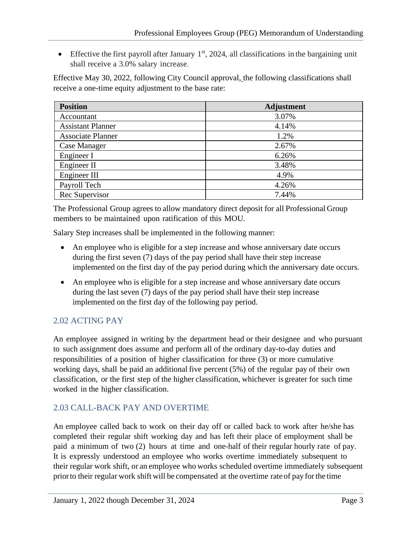• Effective the first payroll after January 1<sup>st</sup>, 2024, all classifications in the bargaining unit shall receive a 3.0% salary increase.

Effective May 30, 2022, following City Council approval, the following classifications shall receive a one-time equity adjustment to the base rate:

| <b>Position</b>          | <b>Adjustment</b> |
|--------------------------|-------------------|
| Accountant               | 3.07%             |
| <b>Assistant Planner</b> | 4.14%             |
| <b>Associate Planner</b> | 1.2%              |
| Case Manager             | 2.67%             |
| Engineer I               | 6.26%             |
| Engineer II              | 3.48%             |
| Engineer III             | 4.9%              |
| Payroll Tech             | 4.26%             |
| Rec Supervisor           | 7.44%             |

The Professional Group agrees to allow mandatory direct deposit for all Professional Group members to be maintained upon ratification of this MOU.

Salary Step increases shall be implemented in the following manner:

- An employee who is eligible for a step increase and whose anniversary date occurs during the first seven (7) days of the pay period shall have their step increase implemented on the first day of the pay period during which the anniversary date occurs.
- An employee who is eligible for a step increase and whose anniversary date occurs during the last seven (7) days of the pay period shall have their step increase implemented on the first day of the following pay period.

# <span id="page-5-0"></span>2.02 ACTING PAY

An employee assigned in writing by the department head or their designee and who pursuant to such assignment does assume and perform all of the ordinary day-to-day duties and responsibilities of a position of higher classification for three (3) or more cumulative working days, shall be paid an additional five percent (5%) of the regular pay of their own classification, or the first step of the higher classification, whichever is greater for such time worked in the higher classification.

# <span id="page-5-1"></span>2.03 CALL-BACK PAY AND OVERTIME

An employee called back to work on their day off or called back to work after he/she has completed their regular shift working day and has left their place of employment shall be paid a minimum of two (2) hours at time and one-half of their regular hourly rate of pay. It is expressly understood an employee who works overtime immediately subsequent to their regular work shift, or an employee who works scheduled overtime immediately subsequent priorto their regular work shift will be compensated at the overtime rate of pay forthe time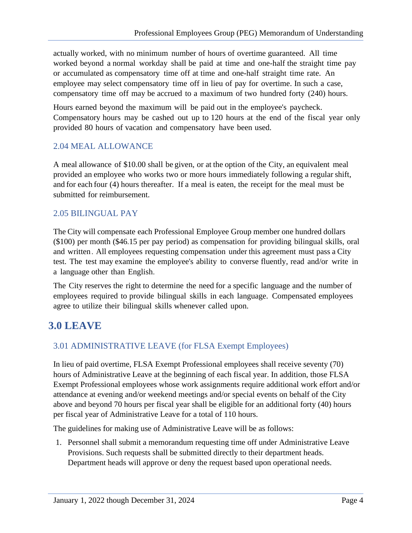actually worked, with no minimum number of hours of overtime guaranteed. All time worked beyond a normal workday shall be paid at time and one-half the straight time pay or accumulated as compensatory time off at time and one-half straight time rate. An employee may select compensatory time off in lieu of pay for overtime. In such a case, compensatory time off may be accrued to a maximum of two hundred forty (240) hours.

Hours earned beyond the maximum will be paid out in the employee's paycheck. Compensatory hours may be cashed out up to 120 hours at the end of the fiscal year only provided 80 hours of vacation and compensatory have been used.

#### <span id="page-6-0"></span>2.04 MEAL ALLOWANCE

A meal allowance of \$10.00 shall be given, or at the option of the City, an equivalent meal provided an employee who works two or more hours immediately following a regular shift, and for each four (4) hours thereafter. If a meal is eaten, the receipt for the meal must be submitted for reimbursement.

#### <span id="page-6-1"></span>2.05 BILINGUAL PAY

The City will compensate each Professional Employee Group member one hundred dollars (\$100) per month (\$46.15 per pay period) as compensation for providing bilingual skills, oral and written. All employees requesting compensation under this agreement must pass a City test. The test may examine the employee's ability to converse fluently, read and/or write in a language other than English.

The City reserves the right to determine the need for a specific language and the number of employees required to provide bilingual skills in each language. Compensated employees agree to utilize their bilingual skills whenever called upon.

# <span id="page-6-2"></span>**3.0 LEAVE**

# <span id="page-6-3"></span>3.01 ADMINISTRATIVE LEAVE (for FLSA Exempt Employees)

In lieu of paid overtime, FLSA Exempt Professional employees shall receive seventy (70) hours of Administrative Leave at the beginning of each fiscal year. In addition, those FLSA Exempt Professional employees whose work assignments require additional work effort and/or attendance at evening and/or weekend meetings and/or special events on behalf of the City above and beyond 70 hours per fiscal year shall be eligible for an additional forty (40) hours per fiscal year of Administrative Leave for a total of 110 hours.

The guidelines for making use of Administrative Leave will be as follows:

1. Personnel shall submit a memorandum requesting time off under Administrative Leave Provisions. Such requests shall be submitted directly to their department heads. Department heads will approve or deny the request based upon operational needs.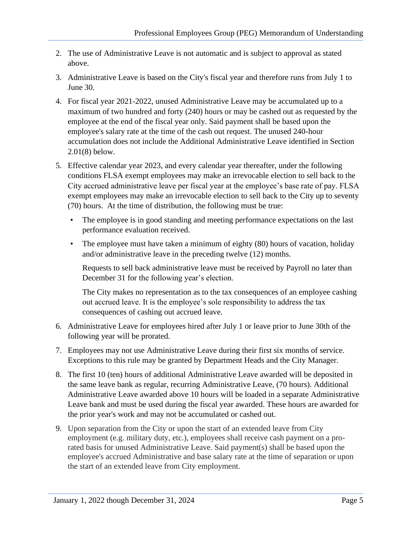- 2. The use of Administrative Leave is not automatic and is subject to approval as stated above.
- 3. Administrative Leave is based on the City's fiscal year and therefore runs from July 1 to June 30.
- 4. For fiscal year 2021-2022, unused Administrative Leave may be accumulated up to a maximum of two hundred and forty (240) hours or may be cashed out as requested by the employee at the end of the fiscal year only. Said payment shall be based upon the employee's salary rate at the time of the cash out request. The unused 240-hour accumulation does not include the Additional Administrative Leave identified in Section 2.01(8) below.
- 5. Effective calendar year 2023, and every calendar year thereafter, under the following conditions FLSA exempt employees may make an irrevocable election to sell back to the City accrued administrative leave per fiscal year at the employee's base rate of pay. FLSA exempt employees may make an irrevocable election to sell back to the City up to seventy (70) hours. At the time of distribution, the following must be true:
	- The employee is in good standing and meeting performance expectations on the last performance evaluation received.
	- The employee must have taken a minimum of eighty (80) hours of vacation, holiday and/or administrative leave in the preceding twelve (12) months.

Requests to sell back administrative leave must be received by Payroll no later than December 31 for the following year's election.

The City makes no representation as to the tax consequences of an employee cashing out accrued leave. It is the employee's sole responsibility to address the tax consequences of cashing out accrued leave.

- 6. Administrative Leave for employees hired after July 1 or leave prior to June 30th of the following year will be prorated.
- 7. Employees may not use Administrative Leave during their first six months of service. Exceptions to this rule may be granted by Department Heads and the City Manager.
- 8. The first 10 (ten) hours of additional Administrative Leave awarded will be deposited in the same leave bank as regular, recurring Administrative Leave, (70 hours). Additional Administrative Leave awarded above 10 hours will be loaded in a separate Administrative Leave bank and must be used during the fiscal year awarded. These hours are awarded for the prior year's work and may not be accumulated or cashed out.
- 9. Upon separation from the City or upon the start of an extended leave from City employment (e.g. military duty, etc.), employees shall receive cash payment on a prorated basis for unused Administrative Leave. Said payment(s) shall be based upon the employee's accrued Administrative and base salary rate at the time of separation or upon the start of an extended leave from City employment.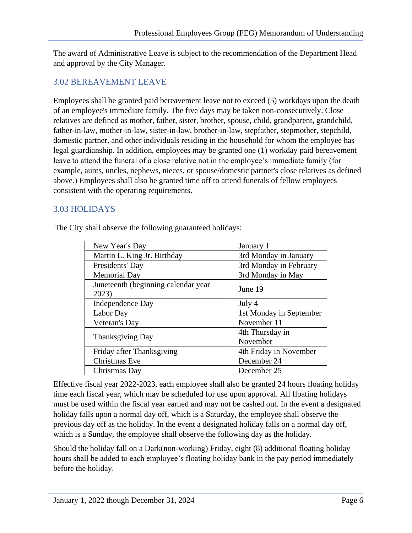The award of Administrative Leave is subject to the recommendation of the Department Head and approval by the City Manager.

### <span id="page-8-0"></span>3.02 BEREAVEMENT LEAVE

Employees shall be granted paid bereavement leave not to exceed (5) workdays upon the death of an employee's immediate family. The five days may be taken non-consecutively. Close relatives are defined as mother, father, sister, brother, spouse, child, grandparent, grandchild, father-in-law, mother-in-law, sister-in-law, brother-in-law, stepfather, stepmother, stepchild, domestic partner, and other individuals residing in the household for whom the employee has legal guardianship. In addition, employees may be granted one (1) workday paid bereavement leave to attend the funeral of a close relative not in the employee's immediate family (for example, aunts, uncles, nephews, nieces, or spouse/domestic partner's close relatives as defined above.) Employees shall also be granted time off to attend funerals of fellow employees consistent with the operating requirements.

## <span id="page-8-1"></span>3.03 HOLIDAYS

| New Year's Day                               | January 1               |
|----------------------------------------------|-------------------------|
| Martin L. King Jr. Birthday                  | 3rd Monday in January   |
| Presidents' Day                              | 3rd Monday in February  |
| <b>Memorial Day</b>                          | 3rd Monday in May       |
| Juneteenth (beginning calendar year<br>2023) | June 19                 |
| Independence Day                             | July 4                  |
| Labor Day                                    | 1st Monday in September |
| Veteran's Day                                | November 11             |
|                                              | 4th Thursday in         |
| Thanksgiving Day                             | November                |
| Friday after Thanksgiving                    | 4th Friday in November  |
| Christmas Eve                                | December 24             |
| Christmas Day                                | December 25             |

The City shall observe the following guaranteed holidays:

Effective fiscal year 2022-2023, each employee shall also be granted 24 hours floating holiday time each fiscal year, which may be scheduled for use upon approval. All floating holidays must be used within the fiscal year earned and may not be cashed out. In the event a designated holiday falls upon a normal day off, which is a Saturday, the employee shall observe the previous day off as the holiday. In the event a designated holiday falls on a normal day off, which is a Sunday, the employee shall observe the following day as the holiday.

Should the holiday fall on a Dark(non-working) Friday, eight (8) additional floating holiday hours shall be added to each employee's floating holiday bank in the pay period immediately before the holiday.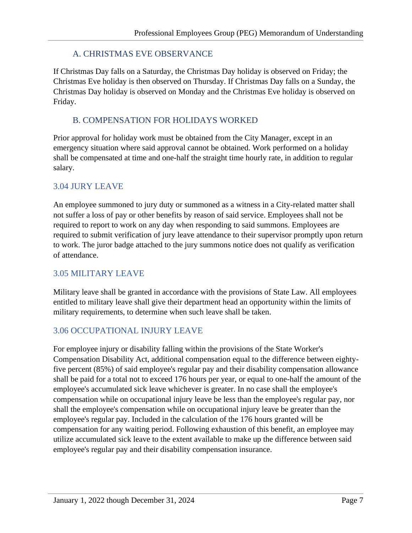## A. CHRISTMAS EVE OBSERVANCE

<span id="page-9-0"></span>If Christmas Day falls on a Saturday, the Christmas Day holiday is observed on Friday; the Christmas Eve holiday is then observed on Thursday. If Christmas Day falls on a Sunday, the Christmas Day holiday is observed on Monday and the Christmas Eve holiday is observed on Friday.

### <span id="page-9-1"></span>B. COMPENSATION FOR HOLIDAYS WORKED

Prior approval for holiday work must be obtained from the City Manager, except in an emergency situation where said approval cannot be obtained. Work performed on a holiday shall be compensated at time and one-half the straight time hourly rate, in addition to regular salary.

### <span id="page-9-2"></span>3.04 JURY LEAVE

An employee summoned to jury duty or summoned as a witness in a City-related matter shall not suffer a loss of pay or other benefits by reason of said service. Employees shall not be required to report to work on any day when responding to said summons. Employees are required to submit verification of jury leave attendance to their supervisor promptly upon return to work. The juror badge attached to the jury summons notice does not qualify as verification of attendance.

# <span id="page-9-3"></span>3.05 MILITARY LEAVE

Military leave shall be granted in accordance with the provisions of State Law. All employees entitled to military leave shall give their department head an opportunity within the limits of military requirements, to determine when such leave shall be taken.

# <span id="page-9-4"></span>3.06 OCCUPATIONAL INJURY LEAVE

For employee injury or disability falling within the provisions of the State Worker's Compensation Disability Act, additional compensation equal to the difference between eightyfive percent (85%) of said employee's regular pay and their disability compensation allowance shall be paid for a total not to exceed 176 hours per year, or equal to one-half the amount of the employee's accumulated sick leave whichever is greater. In no case shall the employee's compensation while on occupational injury leave be less than the employee's regular pay, nor shall the employee's compensation while on occupational injury leave be greater than the employee's regular pay. Included in the calculation of the 176 hours granted will be compensation for any waiting period. Following exhaustion of this benefit, an employee may utilize accumulated sick leave to the extent available to make up the difference between said employee's regular pay and their disability compensation insurance.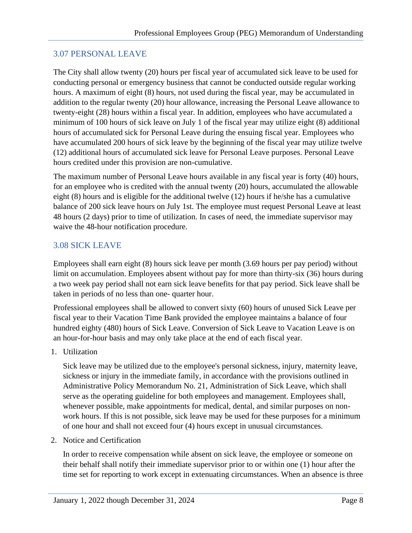### <span id="page-10-0"></span>3.07 PERSONAL LEAVE

The City shall allow twenty (20) hours per fiscal year of accumulated sick leave to be used for conducting personal or emergency business that cannot be conducted outside regular working hours. A maximum of eight (8) hours, not used during the fiscal year, may be accumulated in addition to the regular twenty (20) hour allowance, increasing the Personal Leave allowance to twenty-eight (28) hours within a fiscal year. In addition, employees who have accumulated a minimum of 100 hours of sick leave on July 1 of the fiscal year may utilize eight (8) additional hours of accumulated sick for Personal Leave during the ensuing fiscal year. Employees who have accumulated 200 hours of sick leave by the beginning of the fiscal year may utilize twelve (12) additional hours of accumulated sick leave for Personal Leave purposes. Personal Leave hours credited under this provision are non-cumulative.

The maximum number of Personal Leave hours available in any fiscal year is forty (40) hours, for an employee who is credited with the annual twenty (20) hours, accumulated the allowable eight (8) hours and is eligible for the additional twelve (12) hours if he/she has a cumulative balance of 200 sick leave hours on July 1st. The employee must request Personal Leave at least 48 hours (2 days) prior to time of utilization. In cases of need, the immediate supervisor may waive the 48-hour notification procedure.

### <span id="page-10-1"></span>3.08 SICK LEAVE

Employees shall earn eight (8) hours sick leave per month (3.69 hours per pay period) without limit on accumulation. Employees absent without pay for more than thirty-six (36) hours during a two week pay period shall not earn sick leave benefits for that pay period. Sick leave shall be taken in periods of no less than one- quarter hour.

Professional employees shall be allowed to convert sixty (60) hours of unused Sick Leave per fiscal year to their Vacation Time Bank provided the employee maintains a balance of four hundred eighty (480) hours of Sick Leave. Conversion of Sick Leave to Vacation Leave is on an hour-for-hour basis and may only take place at the end of each fiscal year.

1. Utilization

Sick leave may be utilized due to the employee's personal sickness, injury, maternity leave, sickness or injury in the immediate family, in accordance with the provisions outlined in Administrative Policy Memorandum No. 21, Administration of Sick Leave, which shall serve as the operating guideline for both employees and management. Employees shall, whenever possible, make appointments for medical, dental, and similar purposes on nonwork hours. If this is not possible, sick leave may be used for these purposes for a minimum of one hour and shall not exceed four (4) hours except in unusual circumstances.

2. Notice and Certification

In order to receive compensation while absent on sick leave, the employee or someone on their behalf shall notify their immediate supervisor prior to or within one (1) hour after the time set for reporting to work except in extenuating circumstances. When an absence is three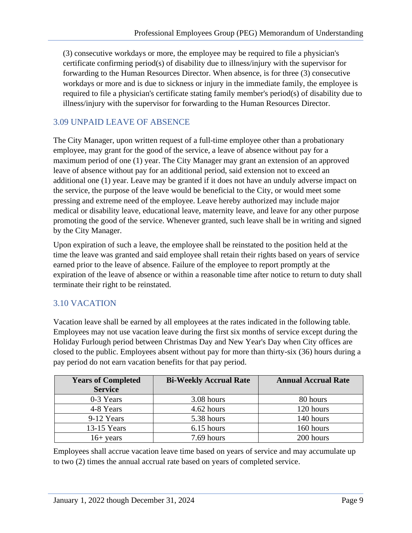(3) consecutive workdays or more, the employee may be required to file a physician's certificate confirming period(s) of disability due to illness/injury with the supervisor for forwarding to the Human Resources Director. When absence, is for three (3) consecutive workdays or more and is due to sickness or injury in the immediate family, the employee is required to file a physician's certificate stating family member's period(s) of disability due to illness/injury with the supervisor for forwarding to the Human Resources Director.

## <span id="page-11-0"></span>3.09 UNPAID LEAVE OF ABSENCE

The City Manager, upon written request of a full-time employee other than a probationary employee, may grant for the good of the service, a leave of absence without pay for a maximum period of one (1) year. The City Manager may grant an extension of an approved leave of absence without pay for an additional period, said extension not to exceed an additional one (1) year. Leave may be granted if it does not have an unduly adverse impact on the service, the purpose of the leave would be beneficial to the City, or would meet some pressing and extreme need of the employee. Leave hereby authorized may include major medical or disability leave, educational leave, maternity leave, and leave for any other purpose promoting the good of the service. Whenever granted, such leave shall be in writing and signed by the City Manager.

Upon expiration of such a leave, the employee shall be reinstated to the position held at the time the leave was granted and said employee shall retain their rights based on years of service earned prior to the leave of absence. Failure of the employee to report promptly at the expiration of the leave of absence or within a reasonable time after notice to return to duty shall terminate their right to be reinstated.

# <span id="page-11-1"></span>3.10 VACATION

Vacation leave shall be earned by all employees at the rates indicated in the following table. Employees may not use vacation leave during the first six months of service except during the Holiday Furlough period between Christmas Day and New Year's Day when City offices are closed to the public. Employees absent without pay for more than thirty-six (36) hours during a pay period do not earn vacation benefits for that pay period.

| <b>Years of Completed</b><br><b>Service</b> | <b>Bi-Weekly Accrual Rate</b> | <b>Annual Accrual Rate</b> |
|---------------------------------------------|-------------------------------|----------------------------|
| 0-3 Years                                   | 3.08 hours                    | 80 hours                   |
| 4-8 Years                                   | 4.62 hours                    | 120 hours                  |
| 9-12 Years                                  | 5.38 hours                    | 140 hours                  |
| $13-15$ Years                               | 6.15 hours                    | 160 hours                  |
| $16 + \text{years}$                         | 7.69 hours                    | 200 hours                  |

Employees shall accrue vacation leave time based on years of service and may accumulate up to two (2) times the annual accrual rate based on years of completed service.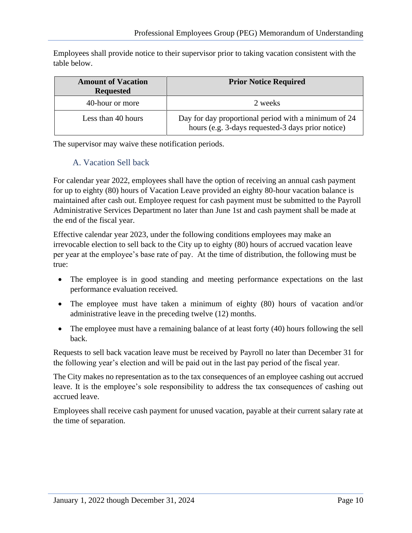Employees shall provide notice to their supervisor prior to taking vacation consistent with the table below.

| <b>Amount of Vacation</b><br><b>Requested</b> | <b>Prior Notice Required</b>                                                                              |
|-----------------------------------------------|-----------------------------------------------------------------------------------------------------------|
| 40-hour or more                               | 2 weeks                                                                                                   |
| Less than 40 hours                            | Day for day proportional period with a minimum of 24<br>hours (e.g. 3-days requested-3 days prior notice) |

<span id="page-12-0"></span>The supervisor may waive these notification periods.

#### A. Vacation Sell back

For calendar year 2022, employees shall have the option of receiving an annual cash payment for up to eighty (80) hours of Vacation Leave provided an eighty 80-hour vacation balance is maintained after cash out. Employee request for cash payment must be submitted to the Payroll Administrative Services Department no later than June 1st and cash payment shall be made at the end of the fiscal year.

Effective calendar year 2023, under the following conditions employees may make an irrevocable election to sell back to the City up to eighty (80) hours of accrued vacation leave per year at the employee's base rate of pay. At the time of distribution, the following must be true:

- The employee is in good standing and meeting performance expectations on the last performance evaluation received.
- The employee must have taken a minimum of eighty (80) hours of vacation and/or administrative leave in the preceding twelve (12) months.
- The employee must have a remaining balance of at least forty (40) hours following the sell back.

Requests to sell back vacation leave must be received by Payroll no later than December 31 for the following year's election and will be paid out in the last pay period of the fiscal year.

The City makes no representation as to the tax consequences of an employee cashing out accrued leave. It is the employee's sole responsibility to address the tax consequences of cashing out accrued leave.

Employees shall receive cash payment for unused vacation, payable at their current salary rate at the time of separation.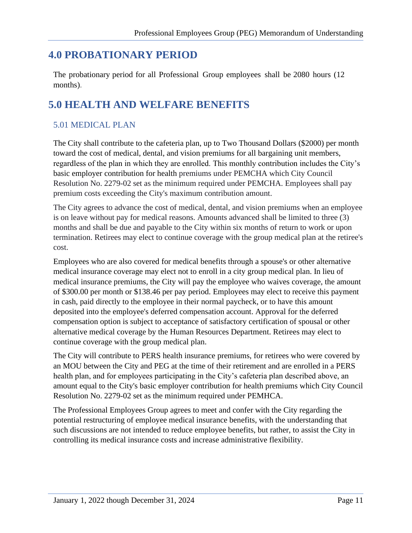# <span id="page-13-0"></span>**4.0 PROBATIONARY PERIOD**

The probationary period for all Professional Group employees shall be 2080 hours (12 months).

# <span id="page-13-1"></span>**5.0 HEALTH AND WELFARE BENEFITS**

# <span id="page-13-2"></span>5.01 MEDICAL PLAN

The City shall contribute to the cafeteria plan, up to Two Thousand Dollars (\$2000) per month toward the cost of medical, dental, and vision premiums for all bargaining unit members, regardless of the plan in which they are enrolled. This monthly contribution includes the City's basic employer contribution for health premiums under PEMCHA which City Council Resolution No. 2279-02 set as the minimum required under PEMCHA. Employees shall pay premium costs exceeding the City's maximum contribution amount.

The City agrees to advance the cost of medical, dental, and vision premiums when an employee is on leave without pay for medical reasons. Amounts advanced shall be limited to three (3) months and shall be due and payable to the City within six months of return to work or upon termination. Retirees may elect to continue coverage with the group medical plan at the retiree's cost.

Employees who are also covered for medical benefits through a spouse's or other alternative medical insurance coverage may elect not to enroll in a city group medical plan. In lieu of medical insurance premiums, the City will pay the employee who waives coverage, the amount of \$300.00 per month or \$138.46 per pay period. Employees may elect to receive this payment in cash, paid directly to the employee in their normal paycheck, or to have this amount deposited into the employee's deferred compensation account. Approval for the deferred compensation option is subject to acceptance of satisfactory certification of spousal or other alternative medical coverage by the Human Resources Department. Retirees may elect to continue coverage with the group medical plan.

The City will contribute to PERS health insurance premiums, for retirees who were covered by an MOU between the City and PEG at the time of their retirement and are enrolled in a PERS health plan, and for employees participating in the City's cafeteria plan described above, an amount equal to the City's basic employer contribution for health premiums which City Council Resolution No. 2279-02 set as the minimum required under PEMHCA.

The Professional Employees Group agrees to meet and confer with the City regarding the potential restructuring of employee medical insurance benefits, with the understanding that such discussions are not intended to reduce employee benefits, but rather, to assist the City in controlling its medical insurance costs and increase administrative flexibility.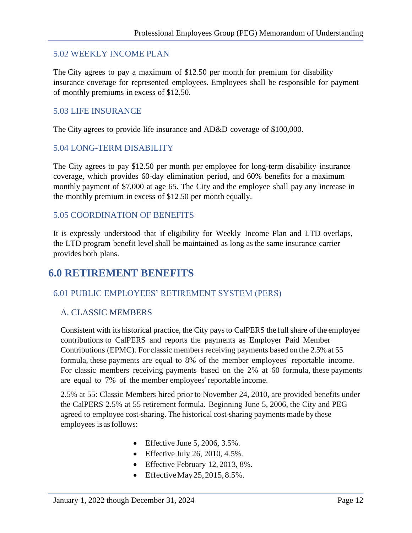#### <span id="page-14-0"></span>5.02 WEEKLY INCOME PLAN

The City agrees to pay a maximum of \$12.50 per month for premium for disability insurance coverage for represented employees. Employees shall be responsible for payment of monthly premiums in excess of \$12.50.

#### <span id="page-14-1"></span>5.03 LIFE INSURANCE

The City agrees to provide life insurance and AD&D coverage of \$100,000.

#### <span id="page-14-2"></span>5.04 LONG-TERM DISABILITY

The City agrees to pay \$12.50 per month per employee for long-term disability insurance coverage, which provides 60-day elimination period, and 60% benefits for a maximum monthly payment of \$7,000 at age 65. The City and the employee shall pay any increase in the monthly premium in excess of \$12.50 per month equally.

#### <span id="page-14-3"></span>5.05 COORDINATION OF BENEFITS

It is expressly understood that if eligibility for Weekly Income Plan and LTD overlaps, the LTD program benefit level shall be maintained as long as the same insurance carrier provides both plans.

# <span id="page-14-4"></span>**6.0 RETIREMENT BENEFITS**

#### <span id="page-14-5"></span>6.01 PUBLIC EMPLOYEES' RETIREMENT SYSTEM (PERS)

#### <span id="page-14-6"></span>A. CLASSIC MEMBERS

Consistent with its historical practice, the City paysto CalPERS the fullshare ofthe employee contributions to CalPERS and reports the payments as Employer Paid Member Contributions (EPMC). For classic members receiving payments based on the 2.5%at 55 formula, these payments are equal to 8% of the member employees' reportable income. For classic members receiving payments based on the 2% at 60 formula, these payments are equal to 7% of the member employees' reportable income.

2.5% at 55: Classic Members hired prior to November 24, 2010, are provided benefits under the CalPERS 2.5% at 55 retirement formula. Beginning June 5, 2006, the City and PEG agreed to employee cost-sharing. The historical cost-sharing payments made by these employees is asfollows:

- Effective June 5, 2006,  $3.5\%$ .
- Effective July 26, 2010,  $4.5\%$ .
- Effective February 12, 2013, 8%.
- Effective May  $25, 2015, 8.5\%$ .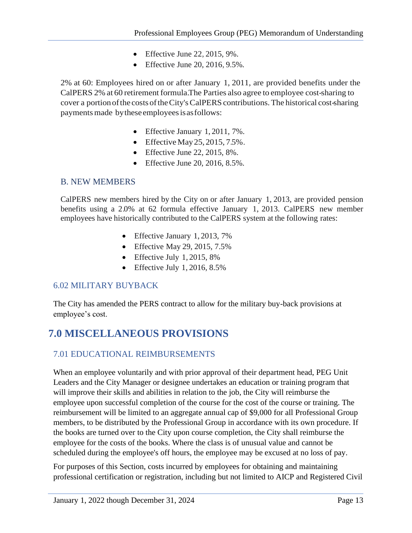- Effective June 22, 2015, 9%.
- Effective June 20, 2016, 9.5%.

2% at 60: Employees hired on or after January 1, 2011, are provided benefits under the CalPERS 2% at 60 retirement formula.The Parties also agree to employee cost-sharing to cover a portionofthe costs oftheCity'sCalPERS contributions.The historical cost-sharing payments made by these employees is as follows:

- Effective January 1, 2011, 7%.
- Effective May  $25, 2015, 7.5\%$ .
- Effective June 22, 2015,  $8\%$ .
- Effective June 20, 2016, 8.5%.

#### <span id="page-15-0"></span>B. NEW MEMBERS

CalPERS new members hired by the City on or after January 1, 2013, are provided pension benefits using a 2.0% at 62 formula effective January 1, 2013. CalPERS new member employees have historically contributed to the CalPERS system at the following rates:

- Effective January 1, 2013, 7%
- Effective May 29, 2015, 7.5%
- Effective July 1, 2015, 8%
- Effective July 1, 2016,  $8.5\%$

### <span id="page-15-1"></span>6.02 MILITARY BUYBACK

The City has amended the PERS contract to allow for the military buy-back provisions at employee's cost.

# <span id="page-15-2"></span>**7.0 MISCELLANEOUS PROVISIONS**

### <span id="page-15-3"></span>7.01 EDUCATIONAL REIMBURSEMENTS

When an employee voluntarily and with prior approval of their department head, PEG Unit Leaders and the City Manager or designee undertakes an education or training program that will improve their skills and abilities in relation to the job, the City will reimburse the employee upon successful completion of the course for the cost of the course or training. The reimbursement will be limited to an aggregate annual cap of \$9,000 for all Professional Group members, to be distributed by the Professional Group in accordance with its own procedure. If the books are turned over to the City upon course completion, the City shall reimburse the employee for the costs of the books. Where the class is of unusual value and cannot be scheduled during the employee's off hours, the employee may be excused at no loss of pay.

For purposes of this Section, costs incurred by employees for obtaining and maintaining professional certification or registration, including but not limited to AICP and Registered Civil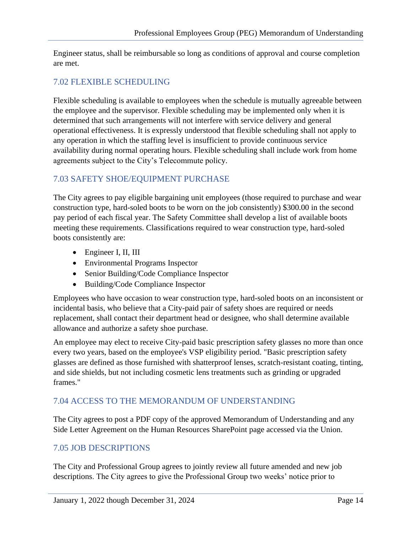Engineer status, shall be reimbursable so long as conditions of approval and course completion are met.

## <span id="page-16-0"></span>7.02 FLEXIBLE SCHEDULING

Flexible scheduling is available to employees when the schedule is mutually agreeable between the employee and the supervisor. Flexible scheduling may be implemented only when it is determined that such arrangements will not interfere with service delivery and general operational effectiveness. It is expressly understood that flexible scheduling shall not apply to any operation in which the staffing level is insufficient to provide continuous service availability during normal operating hours. Flexible scheduling shall include work from home agreements subject to the City's Telecommute policy.

## <span id="page-16-1"></span>7.03 SAFETY SHOE/EQUIPMENT PURCHASE

The City agrees to pay eligible bargaining unit employees (those required to purchase and wear construction type, hard-soled boots to be worn on the job consistently) \$300.00 in the second pay period of each fiscal year. The Safety Committee shall develop a list of available boots meeting these requirements. Classifications required to wear construction type, hard-soled boots consistently are:

- Engineer I, II, III
- Environmental Programs Inspector
- Senior Building/Code Compliance Inspector
- Building/Code Compliance Inspector

Employees who have occasion to wear construction type, hard-soled boots on an inconsistent or incidental basis, who believe that a City-paid pair of safety shoes are required or needs replacement, shall contact their department head or designee, who shall determine available allowance and authorize a safety shoe purchase.

An employee may elect to receive City-paid basic prescription safety glasses no more than once every two years, based on the employee's VSP eligibility period. "Basic prescription safety glasses are defined as those furnished with shatterproof lenses, scratch-resistant coating, tinting, and side shields, but not including cosmetic lens treatments such as grinding or upgraded frames."

### <span id="page-16-2"></span>7.04 ACCESS TO THE MEMORANDUM OF UNDERSTANDING

The City agrees to post a PDF copy of the approved Memorandum of Understanding and any Side Letter Agreement on the Human Resources SharePoint page accessed via the Union.

### <span id="page-16-3"></span>7.05 JOB DESCRIPTIONS

The City and Professional Group agrees to jointly review all future amended and new job descriptions. The City agrees to give the Professional Group two weeks' notice prior to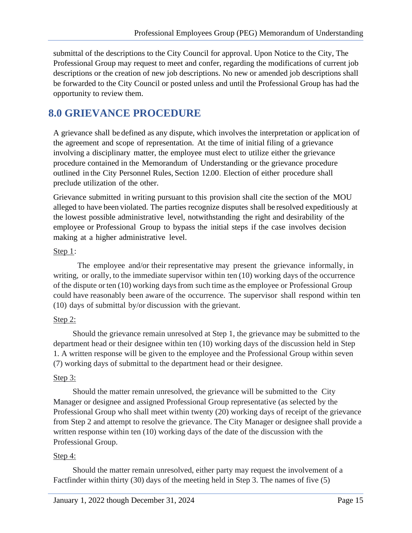submittal of the descriptions to the City Council for approval. Upon Notice to the City, The Professional Group may request to meet and confer, regarding the modifications of current job descriptions or the creation of new job descriptions. No new or amended job descriptions shall be forwarded to the City Council or posted unless and until the Professional Group has had the opportunity to review them.

# <span id="page-17-0"></span>**8.0 GRIEVANCE PROCEDURE**

A grievance shall be defined as any dispute, which involves the interpretation or application of the agreement and scope of representation. At the time of initial filing of a grievance involving a disciplinary matter, the employee must elect to utilize either the grievance procedure contained in the Memorandum of Understanding or the grievance procedure outlined in the City Personnel Rules, Section 12.00. Election of either procedure shall preclude utilization of the other.

Grievance submitted in writing pursuant to this provision shall cite the section of the MOU alleged to have been violated. The parties recognize disputes shall be resolved expeditiously at the lowest possible administrative level, notwithstanding the right and desirability of the employee or Professional Group to bypass the initial steps if the case involves decision making at a higher administrative level.

#### Step 1:

The employee and/or their representative may present the grievance informally, in writing, or orally, to the immediate supervisor within ten (10) working days of the occurrence of the dispute orten (10) working daysfrom such time asthe employee or Professional Group could have reasonably been aware of the occurrence. The supervisor shall respond within ten (10) days of submittal by/or discussion with the grievant.

#### Step 2:

Should the grievance remain unresolved at Step 1, the grievance may be submitted to the department head or their designee within ten (10) working days of the discussion held in Step 1. A written response will be given to the employee and the Professional Group within seven (7) working days of submittal to the department head or their designee.

#### Step 3:

Should the matter remain unresolved, the grievance will be submitted to the City Manager or designee and assigned Professional Group representative (as selected by the Professional Group who shall meet within twenty (20) working days of receipt of the grievance from Step 2 and attempt to resolve the grievance. The City Manager or designee shall provide a written response within ten (10) working days of the date of the discussion with the Professional Group.

#### Step 4:

Should the matter remain unresolved, either party may request the involvement of a Factfinder within thirty (30) days of the meeting held in Step 3. The names of five (5)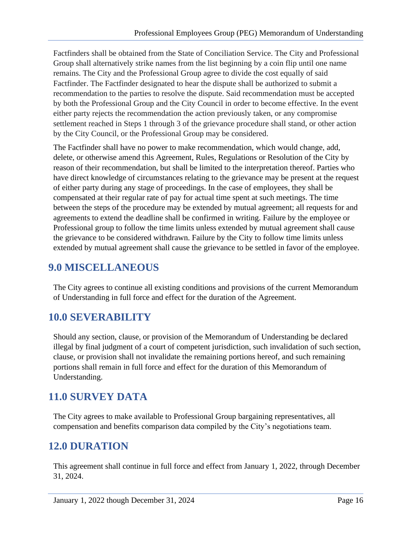Factfinders shall be obtained from the State of Conciliation Service. The City and Professional Group shall alternatively strike names from the list beginning by a coin flip until one name remains. The City and the Professional Group agree to divide the cost equally of said Factfinder. The Factfinder designated to hear the dispute shall be authorized to submit a recommendation to the parties to resolve the dispute. Said recommendation must be accepted by both the Professional Group and the City Council in order to become effective. In the event either party rejects the recommendation the action previously taken, or any compromise settlement reached in Steps 1 through 3 of the grievance procedure shall stand, or other action by the City Council, or the Professional Group may be considered.

The Factfinder shall have no power to make recommendation, which would change, add, delete, or otherwise amend this Agreement, Rules, Regulations or Resolution of the City by reason of their recommendation, but shall be limited to the interpretation thereof. Parties who have direct knowledge of circumstances relating to the grievance may be present at the request of either party during any stage of proceedings. In the case of employees, they shall be compensated at their regular rate of pay for actual time spent at such meetings. The time between the steps of the procedure may be extended by mutual agreement; all requests for and agreements to extend the deadline shall be confirmed in writing. Failure by the employee or Professional group to follow the time limits unless extended by mutual agreement shall cause the grievance to be considered withdrawn. Failure by the City to follow time limits unless extended by mutual agreement shall cause the grievance to be settled in favor of the employee.

# <span id="page-18-0"></span>**9.0 MISCELLANEOUS**

The City agrees to continue all existing conditions and provisions of the current Memorandum of Understanding in full force and effect for the duration of the Agreement.

# <span id="page-18-1"></span>**10.0 SEVERABILITY**

Should any section, clause, or provision of the Memorandum of Understanding be declared illegal by final judgment of a court of competent jurisdiction, such invalidation of such section, clause, or provision shall not invalidate the remaining portions hereof, and such remaining portions shall remain in full force and effect for the duration of this Memorandum of Understanding.

# <span id="page-18-2"></span>**11.0 SURVEY DATA**

The City agrees to make available to Professional Group bargaining representatives, all compensation and benefits comparison data compiled by the City's negotiations team.

# <span id="page-18-3"></span>**12.0 DURATION**

This agreement shall continue in full force and effect from January 1, 2022, through December 31, 2024.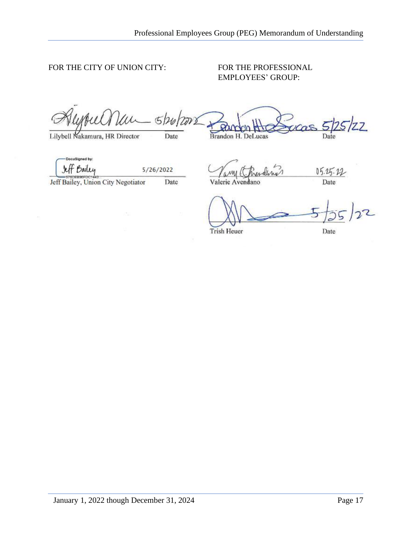#### FOR THE CITY OF UNION CITY: FOR THE PROFESSIONAL

# EMPLOYEES' GROUP:

 $5$ /26/200  $\frac{1}{2}$   $\frac{1}{2}$   $\frac{1}{2}$   $\frac{1}{2}$   $\frac{1}{2}$   $\frac{1}{2}$ 

DocuSigned by: If Bailey

5/26/2022

 $\frac{JUT}{J}$  Dally 5/26/2022<br>Jeff Bailey, Union City Negotiator Date Valerie Avendano Date

Trish Heuer Date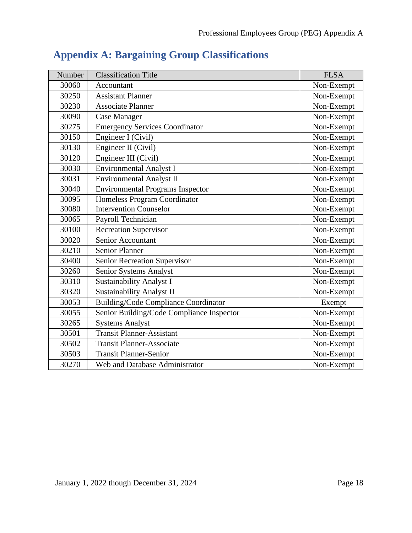| Number | <b>Classification Title</b>                 | <b>FLSA</b> |
|--------|---------------------------------------------|-------------|
| 30060  | Accountant                                  | Non-Exempt  |
| 30250  | <b>Assistant Planner</b>                    | Non-Exempt  |
| 30230  | <b>Associate Planner</b>                    | Non-Exempt  |
| 30090  | <b>Case Manager</b>                         | Non-Exempt  |
| 30275  | <b>Emergency Services Coordinator</b>       | Non-Exempt  |
| 30150  | Engineer I (Civil)                          | Non-Exempt  |
| 30130  | Engineer II (Civil)                         | Non-Exempt  |
| 30120  | Engineer III (Civil)                        | Non-Exempt  |
| 30030  | <b>Environmental Analyst I</b>              | Non-Exempt  |
| 30031  | <b>Environmental Analyst II</b>             | Non-Exempt  |
| 30040  | <b>Environmental Programs Inspector</b>     | Non-Exempt  |
| 30095  | Homeless Program Coordinator                | Non-Exempt  |
| 30080  | <b>Intervention Counselor</b>               | Non-Exempt  |
| 30065  | Payroll Technician                          | Non-Exempt  |
| 30100  | <b>Recreation Supervisor</b>                | Non-Exempt  |
| 30020  | <b>Senior Accountant</b>                    | Non-Exempt  |
| 30210  | <b>Senior Planner</b>                       | Non-Exempt  |
| 30400  | Senior Recreation Supervisor                | Non-Exempt  |
| 30260  | Senior Systems Analyst                      | Non-Exempt  |
| 30310  | <b>Sustainability Analyst I</b>             | Non-Exempt  |
| 30320  | <b>Sustainability Analyst II</b>            | Non-Exempt  |
| 30053  | <b>Building/Code Compliance Coordinator</b> | Exempt      |
| 30055  | Senior Building/Code Compliance Inspector   | Non-Exempt  |
| 30265  | <b>Systems Analyst</b>                      | Non-Exempt  |
| 30501  | <b>Transit Planner-Assistant</b>            | Non-Exempt  |
| 30502  | <b>Transit Planner-Associate</b>            | Non-Exempt  |
| 30503  | <b>Transit Planner-Senior</b>               | Non-Exempt  |
| 30270  | Web and Database Administrator              | Non-Exempt  |

# <span id="page-20-0"></span>**Appendix A: Bargaining Group Classifications**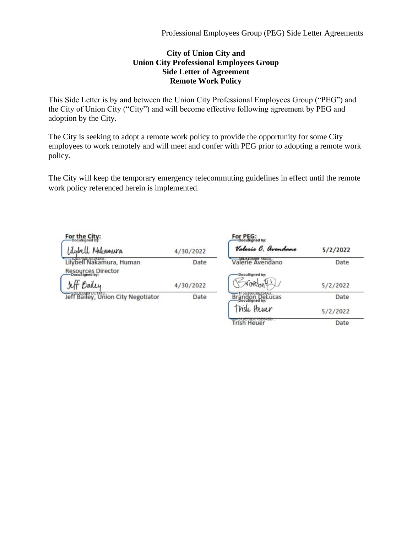#### **City of Union City and Union City Professional Employees Group Side Letter of Agreement Remote Work Policy**

This Side Letter is by and between the Union City Professional Employees Group ("PEG") and the City of Union City ("City") and will become effective following agreement by PEG and adoption by the City.

The City is seeking to adopt a remote work policy to provide the opportunity for some City employees to work remotely and will meet and confer with PEG prior to adopting a remote work policy.

The City will keep the temporary emergency telecommuting guidelines in effect until the remote work policy referenced herein is implemented.

| For the City:                      |           | For PEG:<br>Doousigned by: |          |
|------------------------------------|-----------|----------------------------|----------|
| <i>Aybell Nakamura</i>             | 4/30/2022 | Valerie C. Avendano        | 5/2/2022 |
| Lilybell Nakamura, Human           | Date      | Valerie Avendano           | Date     |
| Resources Director                 |           | DocuSigned by:             |          |
| Bailey                             | 4/30/2022 |                            | 5/2/2022 |
| Jeff Bailey, Union City Negotiator | Date      | Brandon DeLucas            | Date     |
|                                    |           | Trish Hever                | 5/2/2022 |
|                                    |           | Trish Heuer                | Date     |